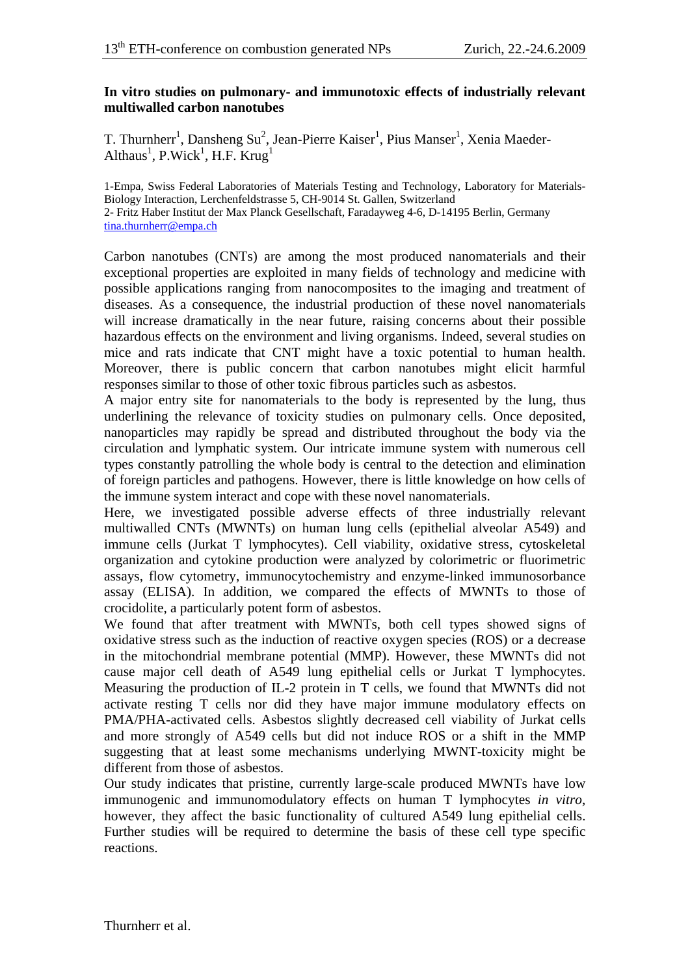## **In vitro studies on pulmonary- and immunotoxic effects of industrially relevant multiwalled carbon nanotubes**

T. Thurnherr<sup>1</sup>, Dansheng Su<sup>2</sup>, Jean-Pierre Kaiser<sup>1</sup>, Pius Manser<sup>1</sup>, Xenia Maeder-Althaus<sup>1</sup>, P.Wick<sup>1</sup>, H.F. Krug<sup>1</sup>

1-Empa, Swiss Federal Laboratories of Materials Testing and Technology, Laboratory for Materials-Biology Interaction, Lerchenfeldstrasse 5, CH-9014 St. Gallen, Switzerland 2- Fritz Haber Institut der Max Planck Gesellschaft, Faradayweg 4-6, D-14195 Berlin, Germany [tina.thurnherr@empa.ch](mailto:Tina.thurnherr@empa.ch)

Carbon nanotubes (CNTs) are among the most produced nanomaterials and their exceptional properties are exploited in many fields of technology and medicine with possible applications ranging from nanocomposites to the imaging and treatment of diseases. As a consequence, the industrial production of these novel nanomaterials will increase dramatically in the near future, raising concerns about their possible hazardous effects on the environment and living organisms. Indeed, several studies on mice and rats indicate that CNT might have a toxic potential to human health. Moreover, there is public concern that carbon nanotubes might elicit harmful responses similar to those of other toxic fibrous particles such as asbestos.

A major entry site for nanomaterials to the body is represented by the lung, thus underlining the relevance of toxicity studies on pulmonary cells. Once deposited, nanoparticles may rapidly be spread and distributed throughout the body via the circulation and lymphatic system. Our intricate immune system with numerous cell types constantly patrolling the whole body is central to the detection and elimination of foreign particles and pathogens. However, there is little knowledge on how cells of the immune system interact and cope with these novel nanomaterials.

Here, we investigated possible adverse effects of three industrially relevant multiwalled CNTs (MWNTs) on human lung cells (epithelial alveolar A549) and immune cells (Jurkat T lymphocytes). Cell viability, oxidative stress, cytoskeletal organization and cytokine production were analyzed by colorimetric or fluorimetric assays, flow cytometry, immunocytochemistry and enzyme-linked immunosorbance assay (ELISA). In addition, we compared the effects of MWNTs to those of crocidolite, a particularly potent form of asbestos.

We found that after treatment with MWNTs, both cell types showed signs of oxidative stress such as the induction of reactive oxygen species (ROS) or a decrease in the mitochondrial membrane potential (MMP). However, these MWNTs did not cause major cell death of A549 lung epithelial cells or Jurkat T lymphocytes. Measuring the production of IL-2 protein in T cells, we found that MWNTs did not activate resting T cells nor did they have major immune modulatory effects on PMA/PHA-activated cells. Asbestos slightly decreased cell viability of Jurkat cells and more strongly of A549 cells but did not induce ROS or a shift in the MMP suggesting that at least some mechanisms underlying MWNT-toxicity might be different from those of asbestos.

Our study indicates that pristine, currently large-scale produced MWNTs have low immunogenic and immunomodulatory effects on human T lymphocytes *in vitro*, however, they affect the basic functionality of cultured A549 lung epithelial cells. Further studies will be required to determine the basis of these cell type specific reactions.